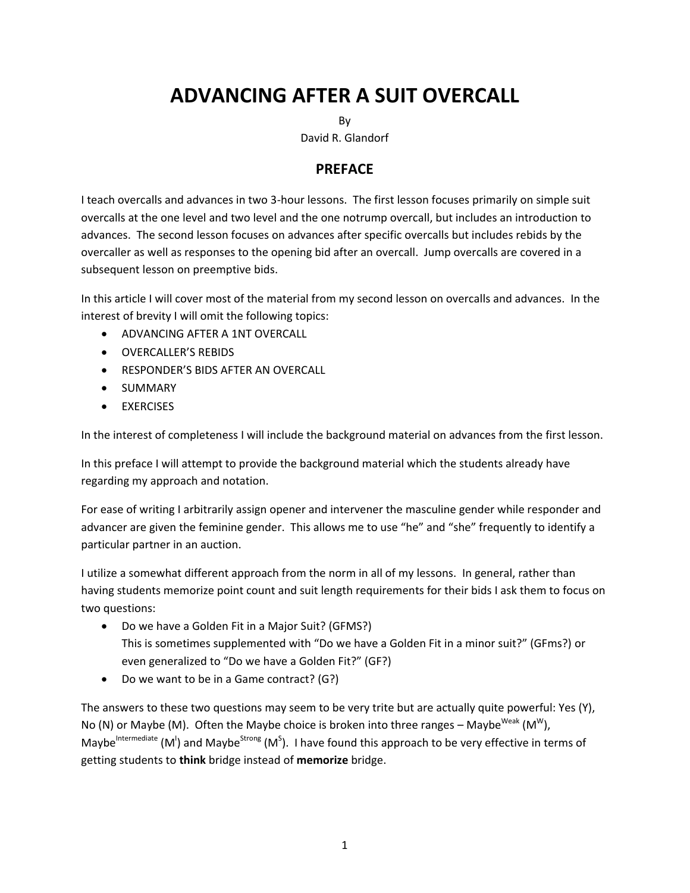# **ADVANCING AFTER A SUIT OVERCALL**

By

David R. Glandorf

## **PREFACE**

I teach overcalls and advances in two 3-hour lessons. The first lesson focuses primarily on simple suit overcalls at the one level and two level and the one notrump overcall, but includes an introduction to advances. The second lesson focuses on advances after specific overcalls but includes rebids by the overcaller as well as responses to the opening bid after an overcall. Jump overcalls are covered in a subsequent lesson on preemptive bids.

In this article I will cover most of the material from my second lesson on overcalls and advances. In the interest of brevity I will omit the following topics:

- ADVANCING AFTER A 1NT OVERCALL
- OVERCALLER'S REBIDS
- **EXPONDER'S BIDS AFTER AN OVERCALL**
- **•** SUMMARY
- **• EXERCISES**

In the interest of completeness I will include the background material on advances from the first lesson.

In this preface I will attempt to provide the background material which the students already have regarding my approach and notation.

For ease of writing I arbitrarily assign opener and intervener the masculine gender while responder and advancer are given the feminine gender. This allows me to use "he" and "she" frequently to identify a particular partner in an auction.

I utilize a somewhat different approach from the norm in all of my lessons. In general, rather than having students memorize point count and suit length requirements for their bids I ask them to focus on two questions:

- Do we have a Golden Fit in a Major Suit? (GFMS?) This is sometimes supplemented with "Do we have a Golden Fit in a minor suit?" (GFms?) or even generalized to "Do we have a Golden Fit?" (GF?)
- Do we want to be in a Game contract? (G?)

The answers to these two questions may seem to be very trite but are actually quite powerful: Yes (Y), No (N) or Maybe (M). Often the Maybe choice is broken into three ranges – Maybe<sup>weak</sup> (M<sup>w</sup>), Maybe<sup>Intermediate</sup> (M<sup>I</sup>) and Maybe<sup>Strong</sup> (M<sup>S</sup>). I have found this approach to be very effective in terms of getting students to **think** bridge instead of **memorize** bridge.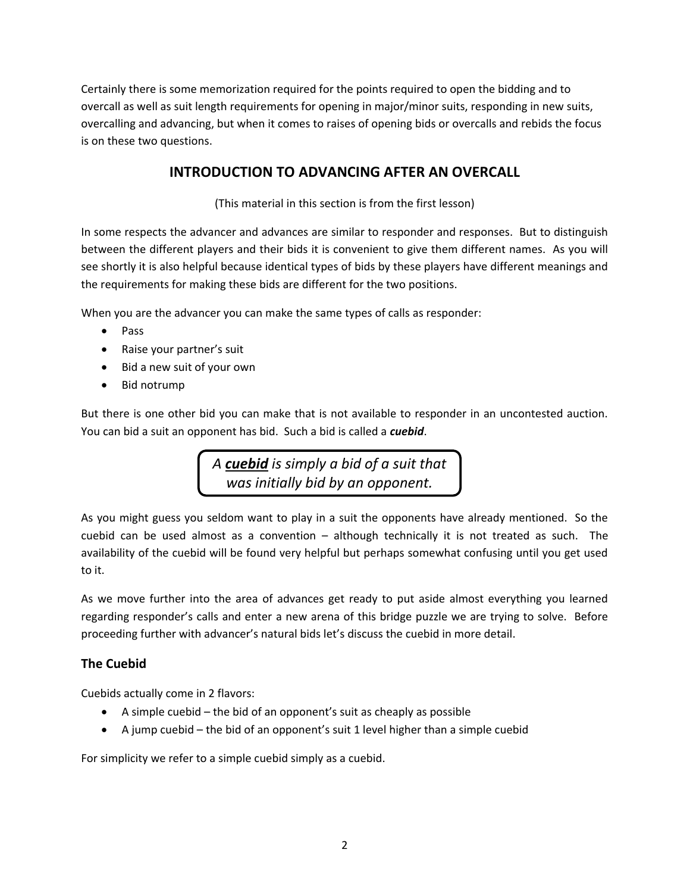Certainly there is some memorization required for the points required to open the bidding and to overcall as well as suit length requirements for opening in major/minor suits, responding in new suits, overcalling and advancing, but when it comes to raises of opening bids or overcalls and rebids the focus is on these two questions.

# **INTRODUCTION TO ADVANCING AFTER AN OVERCALL**

(This material in this section is from the first lesson)

In some respects the advancer and advances are similar to responder and responses. But to distinguish between the different players and their bids it is convenient to give them different names. As you will see shortly it is also helpful because identical types of bids by these players have different meanings and the requirements for making these bids are different for the two positions.

When you are the advancer you can make the same types of calls as responder:

- Pass
- Raise your partner's suit
- Bid a new suit of your own
- Bid notrump

But there is one other bid you can make that is not available to responder in an uncontested auction. You can bid a suit an opponent has bid. Such a bid is called a *cuebid*.

> *A cuebid is simply a bid of a suit that was initially bid by an opponent.*

As you might guess you seldom want to play in a suit the opponents have already mentioned. So the cuebid can be used almost as a convention – although technically it is not treated as such. The availability of the cuebid will be found very helpful but perhaps somewhat confusing until you get used to it.

As we move further into the area of advances get ready to put aside almost everything you learned regarding responder's calls and enter a new arena of this bridge puzzle we are trying to solve. Before proceeding further with advancer's natural bids let's discuss the cuebid in more detail.

## **The Cuebid**

Cuebids actually come in 2 flavors:

- A simple cuebid the bid of an opponent's suit as cheaply as possible
- A jump cuebid the bid of an opponent's suit 1 level higher than a simple cuebid

For simplicity we refer to a simple cuebid simply as a cuebid.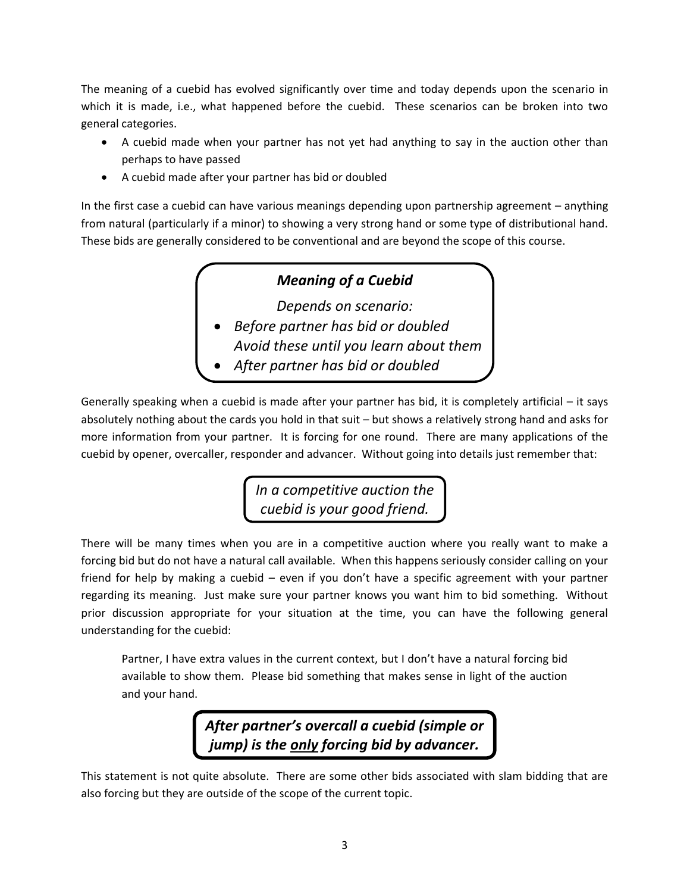The meaning of a cuebid has evolved significantly over time and today depends upon the scenario in which it is made, i.e., what happened before the cuebid. These scenarios can be broken into two general categories.

- A cuebid made when your partner has not yet had anything to say in the auction other than perhaps to have passed
- A cuebid made after your partner has bid or doubled

In the first case a cuebid can have various meanings depending upon partnership agreement – anything from natural (particularly if a minor) to showing a very strong hand or some type of distributional hand. These bids are generally considered to be conventional and are beyond the scope of this course.

# *Meaning of a Cuebid*

*Depends on scenario:*

- *Before partner has bid or doubled Avoid these until you learn about them*
- *After partner has bid or doubled*

Generally speaking when a cuebid is made after your partner has bid, it is completely artificial – it says absolutely nothing about the cards you hold in that suit – but shows a relatively strong hand and asks for more information from your partner. It is forcing for one round. There are many applications of the cuebid by opener, overcaller, responder and advancer. Without going into details just remember that:

> *In a competitive auction the cuebid is your good friend.*

There will be many times when you are in a competitive auction where you really want to make a forcing bid but do not have a natural call available. When this happens seriously consider calling on your friend for help by making a cuebid – even if you don't have a specific agreement with your partner regarding its meaning. Just make sure your partner knows you want him to bid something. Without prior discussion appropriate for your situation at the time, you can have the following general understanding for the cuebid:

Partner, I have extra values in the current context, but I don't have a natural forcing bid available to show them. Please bid something that makes sense in light of the auction and your hand.

> *After partner's overcall a cuebid (simple or jump) is the only forcing bid by advancer.*

This statement is not quite absolute. There are some other bids associated with slam bidding that are also forcing but they are outside of the scope of the current topic.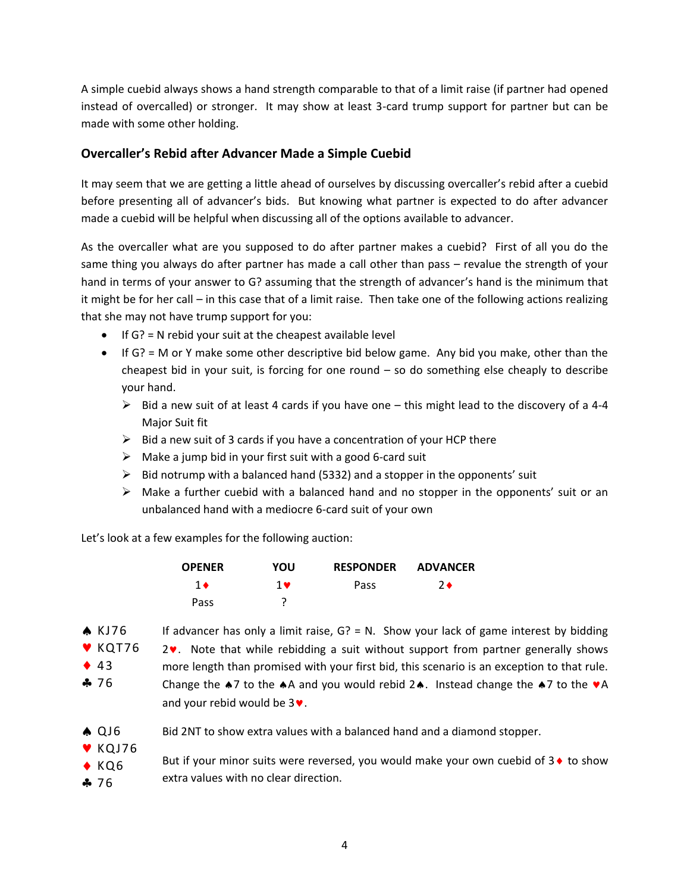A simple cuebid always shows a hand strength comparable to that of a limit raise (if partner had opened instead of overcalled) or stronger. It may show at least 3-card trump support for partner but can be made with some other holding.

#### **Overcaller's Rebid after Advancer Made a Simple Cuebid**

It may seem that we are getting a little ahead of ourselves by discussing overcaller's rebid after a cuebid before presenting all of advancer's bids. But knowing what partner is expected to do after advancer made a cuebid will be helpful when discussing all of the options available to advancer.

As the overcaller what are you supposed to do after partner makes a cuebid? First of all you do the same thing you always do after partner has made a call other than pass – revalue the strength of your hand in terms of your answer to G? assuming that the strength of advancer's hand is the minimum that it might be for her call – in this case that of a limit raise. Then take one of the following actions realizing that she may not have trump support for you:

- $\bullet$  If G? = N rebid your suit at the cheapest available level
- If G? = M or Y make some other descriptive bid below game. Any bid you make, other than the cheapest bid in your suit, is forcing for one round – so do something else cheaply to describe your hand.
	- $\triangleright$  Bid a new suit of at least 4 cards if you have one this might lead to the discovery of a 4-4 Major Suit fit
	- $\triangleright$  Bid a new suit of 3 cards if you have a concentration of your HCP there
	- $\triangleright$  Make a jump bid in your first suit with a good 6-card suit
	- $\triangleright$  Bid notrump with a balanced hand (5332) and a stopper in the opponents' suit
	- $\triangleright$  Make a further cuebid with a balanced hand and no stopper in the opponents' suit or an unbalanced hand with a mediocre 6-card suit of your own

Let's look at a few examples for the following auction:

| <b>OPENER</b> | YOU | <b>RESPONDER</b> | <b>ADVANCER</b> |
|---------------|-----|------------------|-----------------|
| 1 ♦           | 1 v | Pass             | 2♦              |
| Pass          |     |                  |                 |

- If advancer has only a limit raise,  $G$ ? = N. Show your lack of game interest by bidding  $2\mathbf{v}$ . Note that while rebidding a suit without support from partner generally shows more length than promised with your first bid, this scenario is an exception to that rule. Change the  $\clubsuit$ 7 to the  $\clubsuit$ A and you would rebid 2 $\spadesuit$ . Instead change the  $\clubsuit$ 7 to the  $\triangledown$ A and your rebid would be  $3\blacktriangledown$ .  $\triangle$  KJ76  $V$  KQT76  $43$ 76
- Bid 2NT to show extra values with a balanced hand and a diamond stopper. A QJ6
- $\blacktriangledown$  KQJ76
- But if your minor suits were reversed, you would make your own cuebid of  $3\bullet$  to show extra values with no clear direction.  $\triangle$  KQ6
- ♣ 76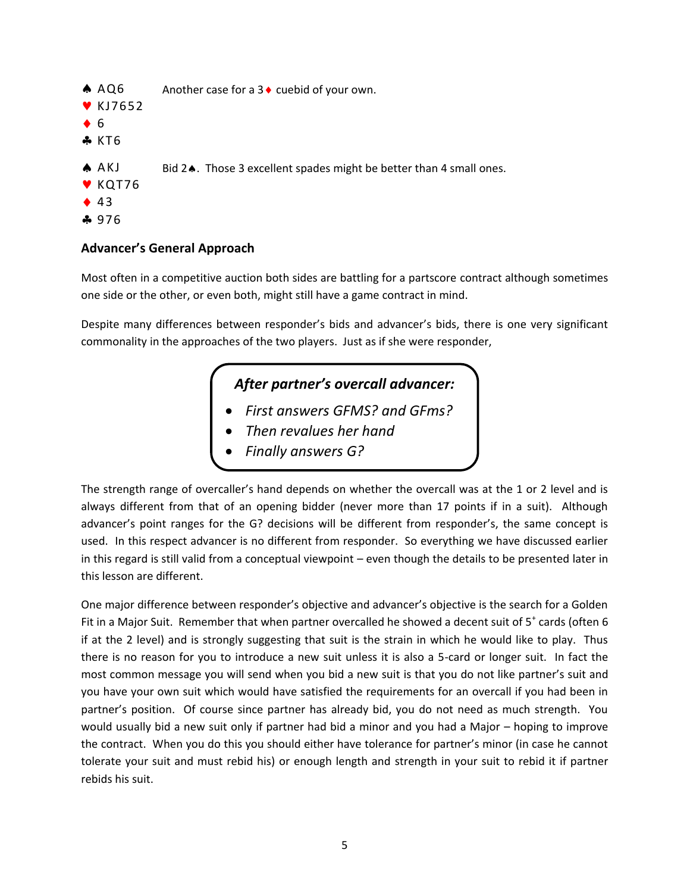Another case for a  $3 \triangleleft$  cuebid of your own. Bid 2.. Those 3 excellent spades might be better than 4 small ones.  $AAO6$  $V$ KJ7652  $66$  $,KT6$ A AKJ  $V$  KQT76  $43$ ♣ 976

#### **Advancer's General Approach**

Most often in a competitive auction both sides are battling for a partscore contract although sometimes one side or the other, or even both, might still have a game contract in mind.

Despite many differences between responder's bids and advancer's bids, there is one very significant commonality in the approaches of the two players. Just as if she were responder,

# *After partner's overcall advancer:*

- *First answers GFMS? and GFms?*
- *Then revalues her hand*
- *Finally answers G?*

The strength range of overcaller's hand depends on whether the overcall was at the 1 or 2 level and is always different from that of an opening bidder (never more than 17 points if in a suit). Although advancer's point ranges for the G? decisions will be different from responder's, the same concept is used. In this respect advancer is no different from responder. So everything we have discussed earlier in this regard is still valid from a conceptual viewpoint – even though the details to be presented later in this lesson are different.

One major difference between responder's objective and advancer's objective is the search for a Golden Fit in a Major Suit. Remember that when partner overcalled he showed a decent suit of  $5^+$  cards (often 6 if at the 2 level) and is strongly suggesting that suit is the strain in which he would like to play. Thus there is no reason for you to introduce a new suit unless it is also a 5-card or longer suit. In fact the most common message you will send when you bid a new suit is that you do not like partner's suit and you have your own suit which would have satisfied the requirements for an overcall if you had been in partner's position. Of course since partner has already bid, you do not need as much strength. You would usually bid a new suit only if partner had bid a minor and you had a Major – hoping to improve the contract. When you do this you should either have tolerance for partner's minor (in case he cannot tolerate your suit and must rebid his) or enough length and strength in your suit to rebid it if partner rebids his suit.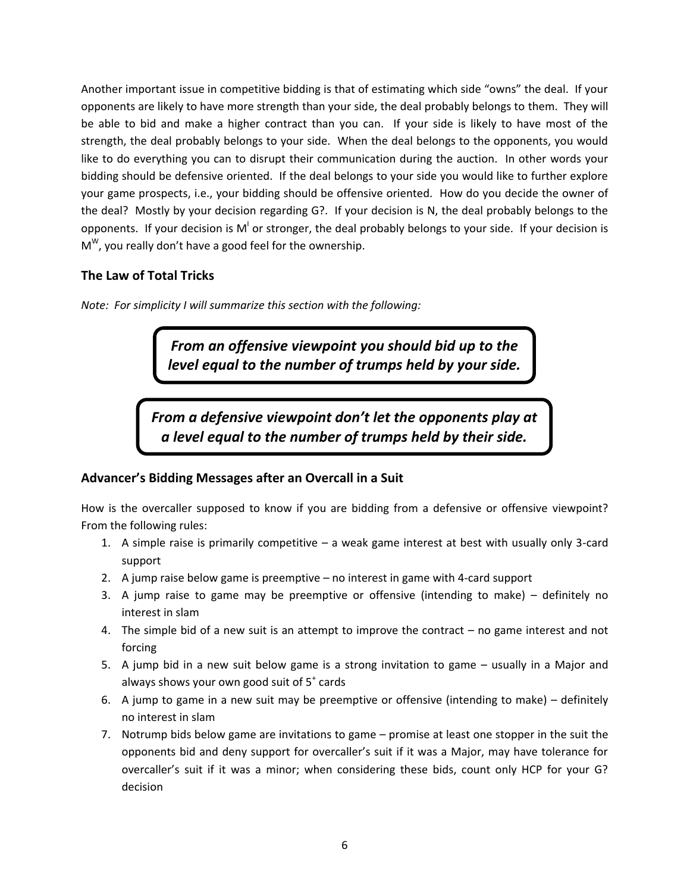Another important issue in competitive bidding is that of estimating which side "owns" the deal. If your opponents are likely to have more strength than your side, the deal probably belongs to them. They will be able to bid and make a higher contract than you can. If your side is likely to have most of the strength, the deal probably belongs to your side. When the deal belongs to the opponents, you would like to do everything you can to disrupt their communication during the auction. In other words your bidding should be defensive oriented. If the deal belongs to your side you would like to further explore your game prospects, i.e., your bidding should be offensive oriented. How do you decide the owner of the deal? Mostly by your decision regarding G?. If your decision is N, the deal probably belongs to the opponents. If your decision is M<sup>I</sup> or stronger, the deal probably belongs to your side. If your decision is M<sup>w</sup>, you really don't have a good feel for the ownership.

## **The Law of Total Tricks**

*Note: For simplicity I will summarize this section with the following:*

*From an offensive viewpoint you should bid up to the level equal to the number of trumps held by your side.*

*From a defensive viewpoint don't let the opponents play at a level equal to the number of trumps held by their side.*

## **Advancer's Bidding Messages after an Overcall in a Suit**

How is the overcaller supposed to know if you are bidding from a defensive or offensive viewpoint? From the following rules:

- 1. A simple raise is primarily competitive a weak game interest at best with usually only 3-card support
- 2. A jump raise below game is preemptive no interest in game with 4-card support
- 3. A jump raise to game may be preemptive or offensive (intending to make) definitely no interest in slam
- 4. The simple bid of a new suit is an attempt to improve the contract no game interest and not forcing
- 5. A jump bid in a new suit below game is a strong invitation to game usually in a Major and always shows your own good suit of  $5^*$  cards
- 6. A jump to game in a new suit may be preemptive or offensive (intending to make) definitely no interest in slam
- 7. Notrump bids below game are invitations to game promise at least one stopper in the suit the opponents bid and deny support for overcaller's suit if it was a Major, may have tolerance for overcaller's suit if it was a minor; when considering these bids, count only HCP for your G? decision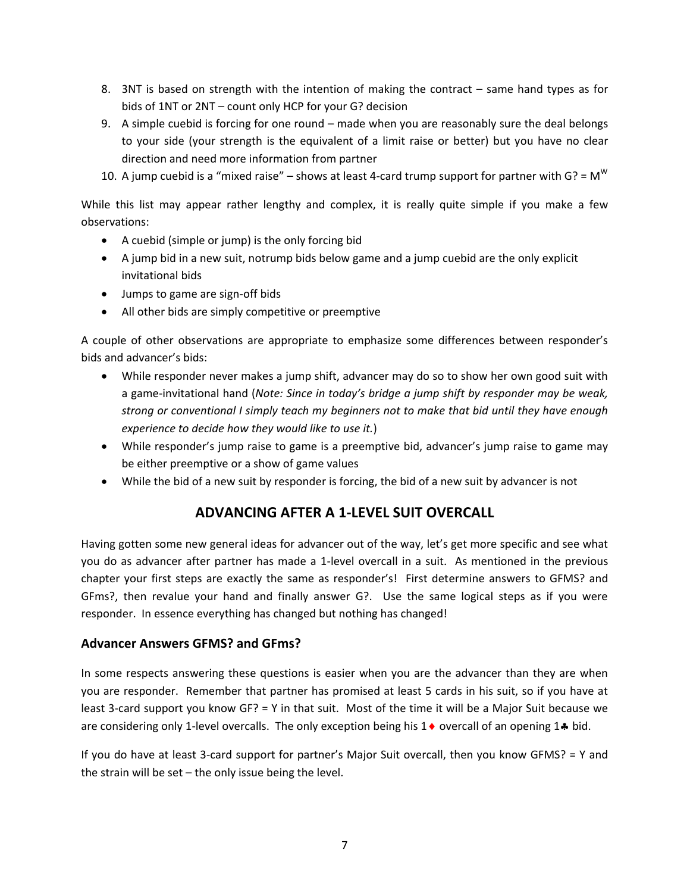- 8. 3NT is based on strength with the intention of making the contract same hand types as for bids of 1NT or 2NT – count only HCP for your G? decision
- 9. A simple cuebid is forcing for one round made when you are reasonably sure the deal belongs to your side (your strength is the equivalent of a limit raise or better) but you have no clear direction and need more information from partner
- 10. A jump cuebid is a "mixed raise" shows at least 4-card trump support for partner with G? =  $M<sup>W</sup>$

While this list may appear rather lengthy and complex, it is really quite simple if you make a few observations:

- A cuebid (simple or jump) is the only forcing bid
- A jump bid in a new suit, notrump bids below game and a jump cuebid are the only explicit invitational bids
- Jumps to game are sign-off bids
- All other bids are simply competitive or preemptive

A couple of other observations are appropriate to emphasize some differences between responder's bids and advancer's bids:

- While responder never makes a jump shift, advancer may do so to show her own good suit with a game-invitational hand (*Note: Since in today's bridge a jump shift by responder may be weak, strong or conventional I simply teach my beginners not to make that bid until they have enough experience to decide how they would like to use it.*)
- While responder's jump raise to game is a preemptive bid, advancer's jump raise to game may be either preemptive or a show of game values
- While the bid of a new suit by responder is forcing, the bid of a new suit by advancer is not

# **ADVANCING AFTER A 1-LEVEL SUIT OVERCALL**

Having gotten some new general ideas for advancer out of the way, let's get more specific and see what you do as advancer after partner has made a 1-level overcall in a suit. As mentioned in the previous chapter your first steps are exactly the same as responder's! First determine answers to GFMS? and GFms?, then revalue your hand and finally answer G?. Use the same logical steps as if you were responder. In essence everything has changed but nothing has changed!

#### **Advancer Answers GFMS? and GFms?**

In some respects answering these questions is easier when you are the advancer than they are when you are responder. Remember that partner has promised at least 5 cards in his suit, so if you have at least 3-card support you know GF? = Y in that suit. Most of the time it will be a Major Suit because we are considering only 1-level overcalls. The only exception being his  $1\bullet$  overcall of an opening  $1\bullet$  bid.

If you do have at least 3-card support for partner's Major Suit overcall, then you know GFMS? = Y and the strain will be set – the only issue being the level.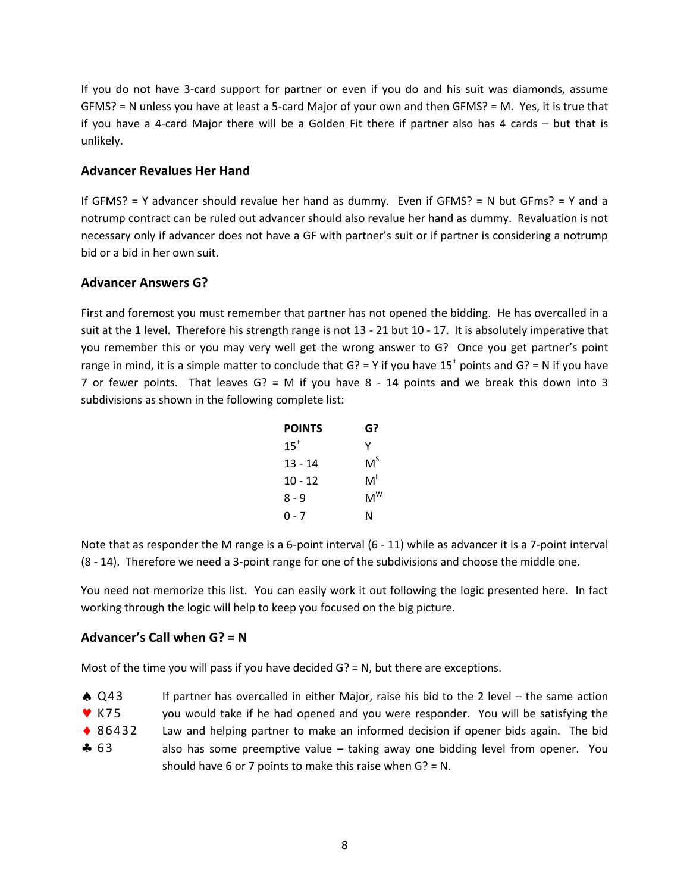If you do not have 3-card support for partner or even if you do and his suit was diamonds, assume GFMS? = N unless you have at least a 5-card Major of your own and then GFMS? = M. Yes, it is true that if you have a 4-card Major there will be a Golden Fit there if partner also has 4 cards – but that is unlikely.

#### **Advancer Revalues Her Hand**

If GFMS? = Y advancer should revalue her hand as dummy. Even if GFMS? = N but GFms? = Y and a notrump contract can be ruled out advancer should also revalue her hand as dummy. Revaluation is not necessary only if advancer does not have a GF with partner's suit or if partner is considering a notrump bid or a bid in her own suit.

#### **Advancer Answers G?**

First and foremost you must remember that partner has not opened the bidding. He has overcalled in a suit at the 1 level. Therefore his strength range is not 13 - 21 but 10 - 17. It is absolutely imperative that you remember this or you may very well get the wrong answer to G? Once you get partner's point range in mind, it is a simple matter to conclude that  $G$ ? = Y if you have 15<sup>+</sup> points and  $G$ ? = N if you have 7 or fewer points. That leaves  $G$ ? = M if you have 8 - 14 points and we break this down into 3 subdivisions as shown in the following complete list:

| <b>POINTS</b> | G?    |
|---------------|-------|
| $15^+$        | γ     |
| 13 - 14       | M,    |
| $10 - 12$     | M'    |
| 8 - 9         | $M^W$ |
| ი - 7         | N     |

Note that as responder the M range is a 6-point interval (6 - 11) while as advancer it is a 7-point interval (8 - 14). Therefore we need a 3-point range for one of the subdivisions and choose the middle one.

You need not memorize this list. You can easily work it out following the logic presented here. In fact working through the logic will help to keep you focused on the big picture.

#### **Advancer's Call when G? = N**

Most of the time you will pass if you have decided G? = N, but there are exceptions.

| $\triangle$ Q43 | If partner has overcalled in either Major, raise his bid to the 2 level $-$ the same action |
|-----------------|---------------------------------------------------------------------------------------------|
|-----------------|---------------------------------------------------------------------------------------------|

- you would take if he had opened and you were responder. You will be satisfying the  $\blacktriangledown$  K75
- Law and helping partner to make an informed decision if opener bids again. The bid ◆ 86432
- also has some preemptive value taking away one bidding level from opener. You should have 6 or 7 points to make this raise when G? = N.  $-63$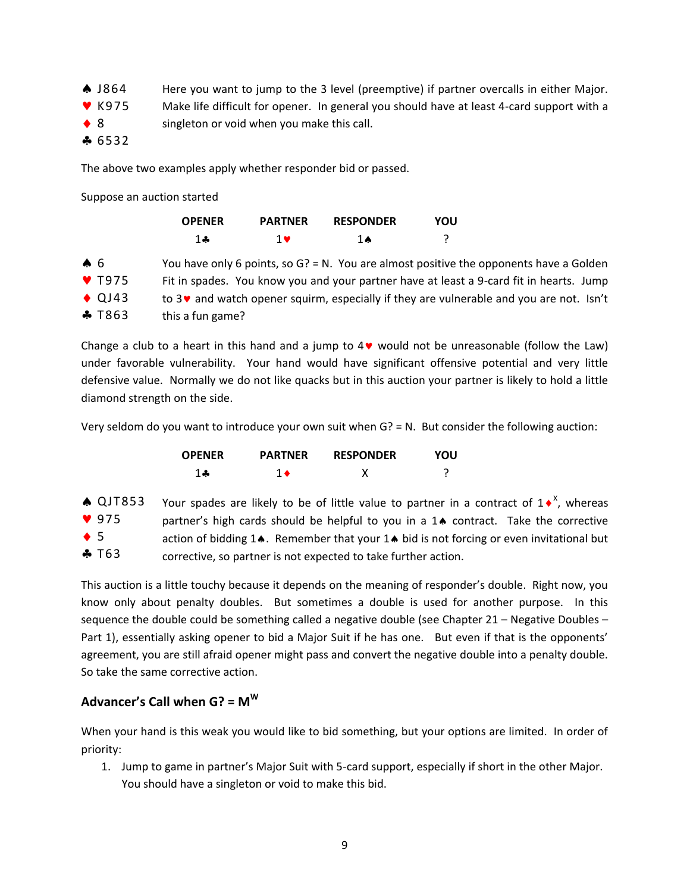- Here you want to jump to the 3 level (preemptive) if partner overcalls in either Major. **A** J864
- Make life difficult for opener. In general you should have at least 4-card support with a  $V$  K975
- singleton or void when you make this call.  $\bullet$  8
- $-6532$

The above two examples apply whether responder bid or passed.

Suppose an auction started

|                           | <b>OPENER</b>                                                                                       | <b>PARTNER</b> | <b>RESPONDER</b> | YOU |                                                                                           |
|---------------------------|-----------------------------------------------------------------------------------------------------|----------------|------------------|-----|-------------------------------------------------------------------------------------------|
|                           | $1 -$                                                                                               | $1 \vee$       | <b>1 A</b>       |     |                                                                                           |
| $\clubsuit$ 6             |                                                                                                     |                |                  |     | You have only 6 points, so $G$ ? = N. You are almost positive the opponents have a Golden |
| $\blacktriangledown$ T975 | Fit in spades. You know you and your partner have at least a 9-card fit in hearts. Jump             |                |                  |     |                                                                                           |
| $\triangle$ QJ43          | to 3 <sup>v</sup> and watch opener squirm, especially if they are vulnerable and you are not. Isn't |                |                  |     |                                                                                           |
| $\clubsuit$ T863          | this a fun game?                                                                                    |                |                  |     |                                                                                           |

Change a club to a heart in this hand and a jump to  $4\vee$  would not be unreasonable (follow the Law) under favorable vulnerability. Your hand would have significant offensive potential and very little defensive value. Normally we do not like quacks but in this auction your partner is likely to hold a little diamond strength on the side.

Very seldom do you want to introduce your own suit when G? = N. But consider the following auction:

| <b>OPENER</b> | <b>PARTNER</b> | <b>RESPONDER</b> | YOU |
|---------------|----------------|------------------|-----|
| $1 -$         |                |                  |     |

|             | $\triangle$ QJT853 | Your spades are likely to be of little value to partner in a contract of $1 \cdot X$ , whereas |
|-------------|--------------------|------------------------------------------------------------------------------------------------|
|             | 975                | partner's high cards should be helpful to you in a 14 contract. Take the corrective            |
| $\bullet$ 5 |                    | action of bidding 14. Remember that your 14 bid is not forcing or even invitational but        |
|             | $\clubsuit$ T63    | corrective, so partner is not expected to take further action.                                 |

This auction is a little touchy because it depends on the meaning of responder's double. Right now, you know only about penalty doubles. But sometimes a double is used for another purpose. In this sequence the double could be something called a negative double (see Chapter 21 – Negative Doubles – Part 1), essentially asking opener to bid a Major Suit if he has one. But even if that is the opponents' agreement, you are still afraid opener might pass and convert the negative double into a penalty double. So take the same corrective action.

## **Advancer's Call when G? = M<sup>W</sup>**

When your hand is this weak you would like to bid something, but your options are limited. In order of priority:

1. Jump to game in partner's Major Suit with 5-card support, especially if short in the other Major. You should have a singleton or void to make this bid.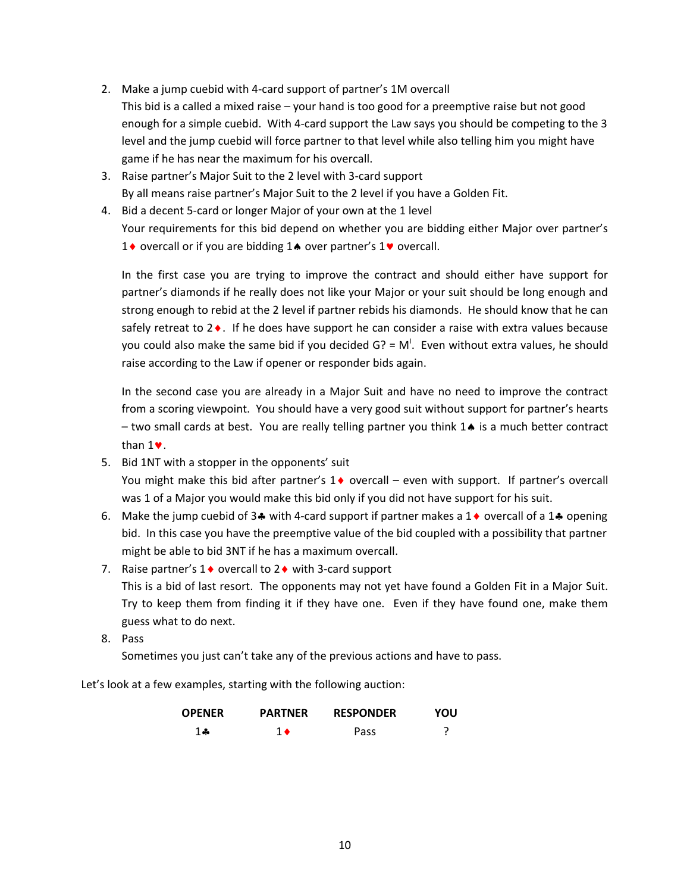- 2. Make a jump cuebid with 4-card support of partner's 1M overcall This bid is a called a mixed raise – your hand is too good for a preemptive raise but not good enough for a simple cuebid. With 4-card support the Law says you should be competing to the 3 level and the jump cuebid will force partner to that level while also telling him you might have game if he has near the maximum for his overcall.
- 3. Raise partner's Major Suit to the 2 level with 3-card support By all means raise partner's Major Suit to the 2 level if you have a Golden Fit.
- 4. Bid a decent 5-card or longer Major of your own at the 1 level Your requirements for this bid depend on whether you are bidding either Major over partner's 1 $\bullet$  overcall or if you are bidding 1 $\bullet$  over partner's 1 $\bullet$  overcall.

In the first case you are trying to improve the contract and should either have support for partner's diamonds if he really does not like your Major or your suit should be long enough and strong enough to rebid at the 2 level if partner rebids his diamonds. He should know that he can safely retreat to  $2 \cdot$ . If he does have support he can consider a raise with extra values because you could also make the same bid if you decided  $G$ ? = M<sup>!</sup>. Even without extra values, he should raise according to the Law if opener or responder bids again.

In the second case you are already in a Major Suit and have no need to improve the contract from a scoring viewpoint. You should have a very good suit without support for partner's hearts  $-$  two small cards at best. You are really telling partner you think  $1\spadesuit$  is a much better contract than  $1$  $\bullet$ .

- 5. Bid 1NT with a stopper in the opponents' suit You might make this bid after partner's  $1\blacklozenge$  overcall – even with support. If partner's overcall was 1 of a Major you would make this bid only if you did not have support for his suit.
- 6. Make the jump cuebid of 3.4 with 4-card support if partner makes a 1.0 overcall of a 1.4 opening bid. In this case you have the preemptive value of the bid coupled with a possibility that partner might be able to bid 3NT if he has a maximum overcall.
- 7. Raise partner's  $1\blacklozenge$  overcall to  $2\blacklozenge$  with 3-card support This is a bid of last resort. The opponents may not yet have found a Golden Fit in a Major Suit. Try to keep them from finding it if they have one. Even if they have found one, make them guess what to do next.
- 8. Pass

Sometimes you just can't take any of the previous actions and have to pass.

Let's look at a few examples, starting with the following auction:

| <b>OPENER</b> | <b>PARTNER</b> | <b>RESPONDER</b> | YOU |
|---------------|----------------|------------------|-----|
| $1 -$         |                | Pass             | ∍   |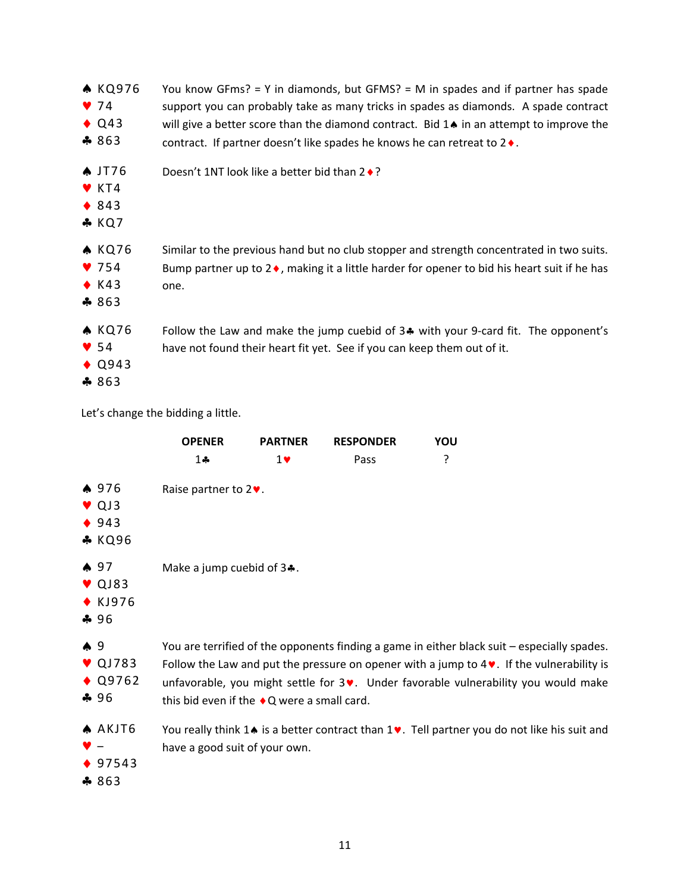| A KQ976<br>974<br>$\triangle$ Q43<br>$*863$                                     | You know GFms? = Y in diamonds, but GFMS? = M in spades and if partner has spade<br>support you can probably take as many tricks in spades as diamonds. A spade contract<br>will give a better score than the diamond contract. Bid $1\spadesuit$ in an attempt to improve the<br>contract. If partner doesn't like spades he knows he can retreat to $2 \rightarrow$ . |
|---------------------------------------------------------------------------------|-------------------------------------------------------------------------------------------------------------------------------------------------------------------------------------------------------------------------------------------------------------------------------------------------------------------------------------------------------------------------|
| $\triangle$ JT76<br>$\blacktriangledown$ KT4<br>$\triangle$ 843<br>$*$ KQ7      | Doesn't 1NT look like a better bid than $2 \cdot ?$                                                                                                                                                                                                                                                                                                                     |
| <b>A KQ76</b><br>$\blacktriangledown$ 754<br>$\triangle$ K43<br>$\clubsuit$ 863 | Similar to the previous hand but no club stopper and strength concentrated in two suits.<br>Bump partner up to $2\bullet$ , making it a little harder for opener to bid his heart suit if he has<br>one.                                                                                                                                                                |
| <b>A KQ76</b><br>$\blacktriangledown$ 54<br>$\triangle$ Q943<br>$*863$          | Follow the Law and make the jump cuebid of 34 with your 9-card fit. The opponent's<br>have not found their heart fit yet. See if you can keep them out of it.                                                                                                                                                                                                           |

Let's change the bidding a little.

|                |                                                             | <b>OPENER</b>                                                                                                                                                                                                                                                                                                                           | <b>PARTNER</b> | <b>RESPONDER</b> | YOU                                                                                                                |  |
|----------------|-------------------------------------------------------------|-----------------------------------------------------------------------------------------------------------------------------------------------------------------------------------------------------------------------------------------------------------------------------------------------------------------------------------------|----------------|------------------|--------------------------------------------------------------------------------------------------------------------|--|
|                |                                                             | $1 -$                                                                                                                                                                                                                                                                                                                                   | $1 \vee$       | Pass             | ?                                                                                                                  |  |
|                | $*976$<br>$\vee$ QJ3<br>$\triangle$ 943<br><b>* KQ96</b>    | Raise partner to $2\blacktriangledown$ .                                                                                                                                                                                                                                                                                                |                |                  |                                                                                                                    |  |
|                | $\spadesuit$ 97<br>$\triangledown$ QJ83<br>◆ KJ976<br>$-96$ | Make a jump cuebid of $3$ .                                                                                                                                                                                                                                                                                                             |                |                  |                                                                                                                    |  |
| $\spadesuit$ 9 | $\triangledown$ QJ783<br>$\triangle$ Q9762<br>$-96$         | You are terrified of the opponents finding a game in either black suit - especially spades.<br>Follow the Law and put the pressure on opener with a jump to $4\vee$ . If the vulnerability is<br>unfavorable, you might settle for $3\vee$ . Under favorable vulnerability you would make<br>this bid even if the ◆Q were a small card. |                |                  |                                                                                                                    |  |
|                | A AKJT6<br>◆ 97543<br>\$863                                 | have a good suit of your own.                                                                                                                                                                                                                                                                                                           |                |                  | You really think $1\spadesuit$ is a better contract than $1\spadesuit$ . Tell partner you do not like his suit and |  |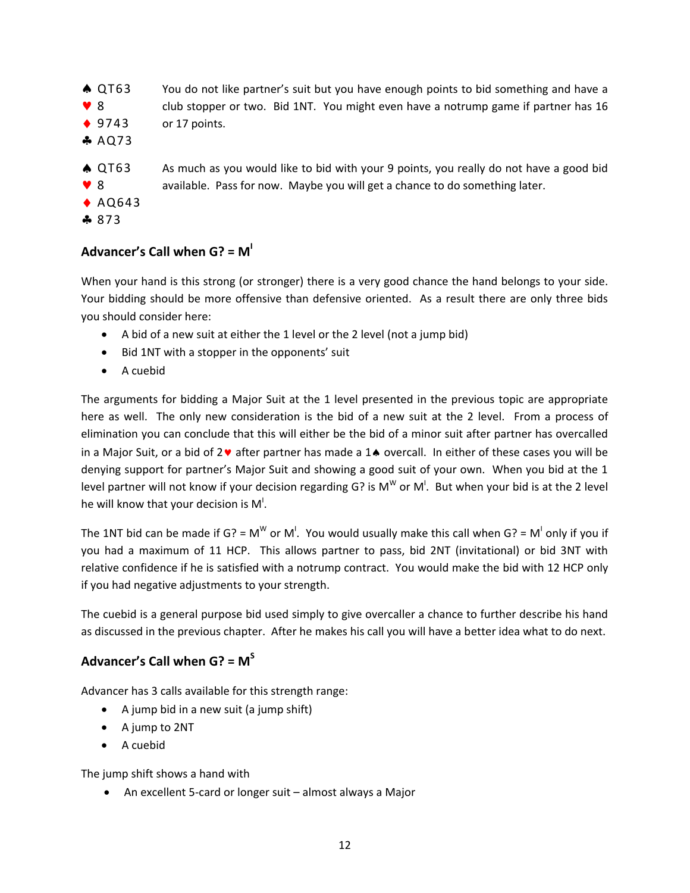- You do not like partner's suit but you have enough points to bid something and have a club stopper or two. Bid 1NT. You might even have a notrump game if partner has 16 or 17 points.  $\triangle$  QT63 8  $9743$  $AQ73$
- As much as you would like to bid with your 9 points, you really do not have a good bid available. Pass for now. Maybe you will get a chance to do something later. **A QT63** 8
- $\triangle$  AQ643
- ♣ 873

# **Advancer's Call when G? = M<sup>I</sup>**

When your hand is this strong (or stronger) there is a very good chance the hand belongs to your side. Your bidding should be more offensive than defensive oriented. As a result there are only three bids you should consider here:

- A bid of a new suit at either the 1 level or the 2 level (not a jump bid)
- Bid 1NT with a stopper in the opponents' suit
- A cuebid

The arguments for bidding a Major Suit at the 1 level presented in the previous topic are appropriate here as well. The only new consideration is the bid of a new suit at the 2 level. From a process of elimination you can conclude that this will either be the bid of a minor suit after partner has overcalled in a Major Suit, or a bid of  $2\mathbf{v}$  after partner has made a  $1\mathbf{A}$  overcall. In either of these cases you will be denying support for partner's Major Suit and showing a good suit of your own. When you bid at the 1 level partner will not know if your decision regarding G? is M<sup>W</sup> or M<sup>I</sup>. But when your bid is at the 2 level he will know that your decision is  $\mathsf{M}^{\mathsf{l}}.$ 

The 1NT bid can be made if G? = M<sup>W</sup> or M<sup>I</sup>. You would usually make this call when G? = M<sup>I</sup> only if you if you had a maximum of 11 HCP. This allows partner to pass, bid 2NT (invitational) or bid 3NT with relative confidence if he is satisfied with a notrump contract. You would make the bid with 12 HCP only if you had negative adjustments to your strength.

The cuebid is a general purpose bid used simply to give overcaller a chance to further describe his hand as discussed in the previous chapter. After he makes his call you will have a better idea what to do next.

# **Advancer's Call when G? = M<sup>S</sup>**

Advancer has 3 calls available for this strength range:

- $\bullet$  A jump bid in a new suit (a jump shift)
- A jump to 2NT
- A cuebid

The jump shift shows a hand with

An excellent 5-card or longer suit – almost always a Major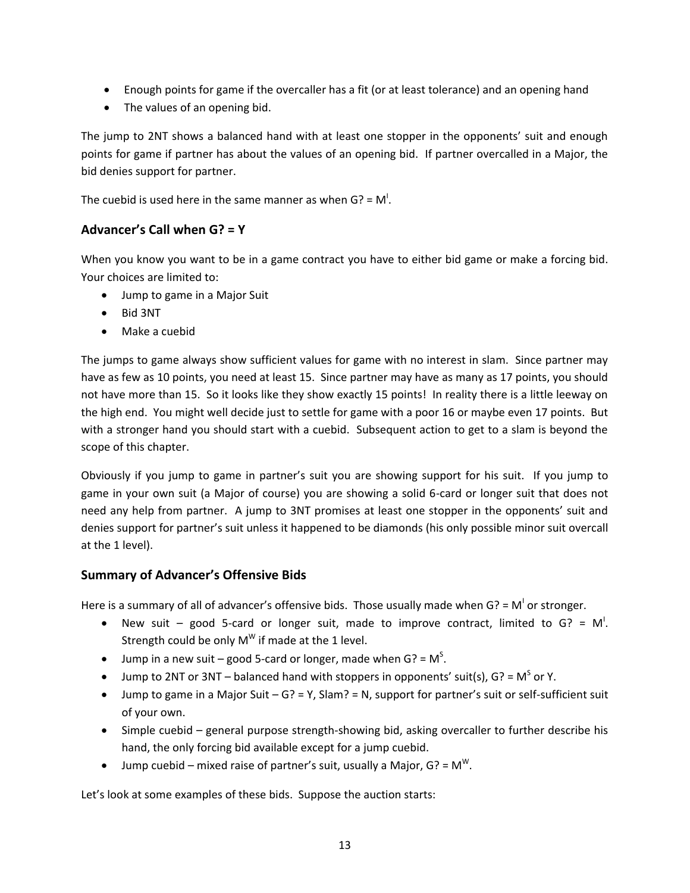- Enough points for game if the overcaller has a fit (or at least tolerance) and an opening hand
- The values of an opening bid.

The jump to 2NT shows a balanced hand with at least one stopper in the opponents' suit and enough points for game if partner has about the values of an opening bid. If partner overcalled in a Major, the bid denies support for partner.

The cuebid is used here in the same manner as when G? =  $M<sup>1</sup>$ .

## **Advancer's Call when G? = Y**

When you know you want to be in a game contract you have to either bid game or make a forcing bid. Your choices are limited to:

- Jump to game in a Major Suit
- Bid 3NT
- Make a cuebid

The jumps to game always show sufficient values for game with no interest in slam. Since partner may have as few as 10 points, you need at least 15. Since partner may have as many as 17 points, you should not have more than 15. So it looks like they show exactly 15 points! In reality there is a little leeway on the high end. You might well decide just to settle for game with a poor 16 or maybe even 17 points. But with a stronger hand you should start with a cuebid. Subsequent action to get to a slam is beyond the scope of this chapter.

Obviously if you jump to game in partner's suit you are showing support for his suit. If you jump to game in your own suit (a Major of course) you are showing a solid 6-card or longer suit that does not need any help from partner. A jump to 3NT promises at least one stopper in the opponents' suit and denies support for partner's suit unless it happened to be diamonds (his only possible minor suit overcall at the 1 level).

#### **Summary of Advancer's Offensive Bids**

Here is a summary of all of advancer's offensive bids. Those usually made when G? =  $M<sup>1</sup>$  or stronger.

- New suit good 5-card or longer suit, made to improve contract, limited to  $G$ ? = M<sup>I</sup>. Strength could be only M<sup>W</sup> if made at the 1 level.
- Jump in a new suit good 5-card or longer, made when  $G$ ? = M<sup>S</sup>.
- Jump to 2NT or 3NT balanced hand with stoppers in opponents' suit(s),  $G$ ? = M<sup>S</sup> or Y.
- Jump to game in a Major Suit  $G$ ? = Y, Slam? = N, support for partner's suit or self-sufficient suit of your own.
- Simple cuebid general purpose strength-showing bid, asking overcaller to further describe his hand, the only forcing bid available except for a jump cuebid.
- Jump cuebid mixed raise of partner's suit, usually a Major, G? =  $M^W$ .

Let's look at some examples of these bids. Suppose the auction starts: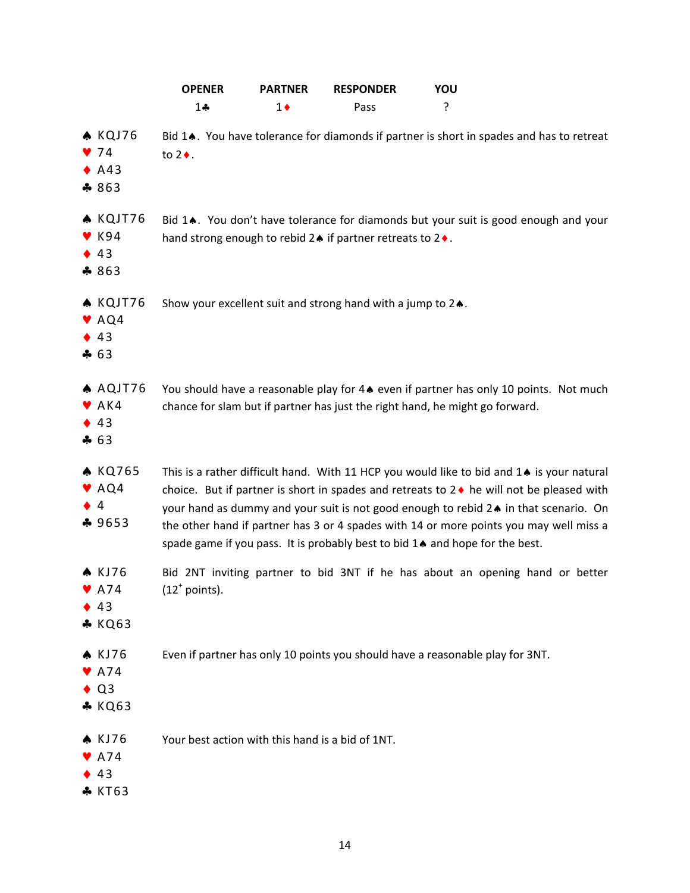|                                                                              | <b>OPENER</b>                                    | <b>PARTNER</b> | <b>RESPONDER</b>                                                        | YOU                                                                                                                                                                                                                                                                                                                                                                                                                                                                 |
|------------------------------------------------------------------------------|--------------------------------------------------|----------------|-------------------------------------------------------------------------|---------------------------------------------------------------------------------------------------------------------------------------------------------------------------------------------------------------------------------------------------------------------------------------------------------------------------------------------------------------------------------------------------------------------------------------------------------------------|
|                                                                              | $1 -$                                            | $1\bullet$     | Pass                                                                    | ?                                                                                                                                                                                                                                                                                                                                                                                                                                                                   |
| $\triangle$ KQJ76<br>74<br>$\bullet$ A43<br>\$863                            | to $2 \bullet$ .                                 |                |                                                                         | Bid 14. You have tolerance for diamonds if partner is short in spades and has to retreat                                                                                                                                                                                                                                                                                                                                                                            |
| <b>A KQJT76</b><br>$\blacktriangledown$ K94<br>43<br>$*863$                  |                                                  |                | hand strong enough to rebid 2. if partner retreats to 2                 | Bid 14. You don't have tolerance for diamonds but your suit is good enough and your                                                                                                                                                                                                                                                                                                                                                                                 |
| KQJT76<br>$\blacktriangleright$ AQ4<br>43<br>463                             |                                                  |                | Show your excellent suit and strong hand with a jump to $2\spadesuit$ . |                                                                                                                                                                                                                                                                                                                                                                                                                                                                     |
| A AQJT76<br>$\blacktriangleright$ AK4<br>43<br>$-63$                         |                                                  |                |                                                                         | You should have a reasonable play for 44 even if partner has only 10 points. Not much<br>chance for slam but if partner has just the right hand, he might go forward.                                                                                                                                                                                                                                                                                               |
| <b>A KQ765</b><br>VAQ4<br>$\overline{4}$<br>\$9653                           |                                                  |                |                                                                         | This is a rather difficult hand. With 11 HCP you would like to bid and $1\spadesuit$ is your natural<br>choice. But if partner is short in spades and retreats to 2 ♦ he will not be pleased with<br>your hand as dummy and your suit is not good enough to rebid 2. in that scenario. On<br>the other hand if partner has 3 or 4 spades with 14 or more points you may well miss a<br>spade game if you pass. It is probably best to bid 14 and hope for the best. |
| <b>A</b> KJ76<br>$\rho$ A74<br>43<br><b>* KQ63</b>                           | $(12^{\circ}$ points).                           |                |                                                                         | Bid 2NT inviting partner to bid 3NT if he has about an opening hand or better                                                                                                                                                                                                                                                                                                                                                                                       |
| <b>A</b> KJ76<br>$\blacktriangledown$ A74<br>Q <sub>3</sub><br><b>* KQ63</b> |                                                  |                |                                                                         | Even if partner has only 10 points you should have a reasonable play for 3NT.                                                                                                                                                                                                                                                                                                                                                                                       |
| <b>A KJ76</b><br>A74<br>43<br><b>* KT63</b>                                  | Your best action with this hand is a bid of 1NT. |                |                                                                         |                                                                                                                                                                                                                                                                                                                                                                                                                                                                     |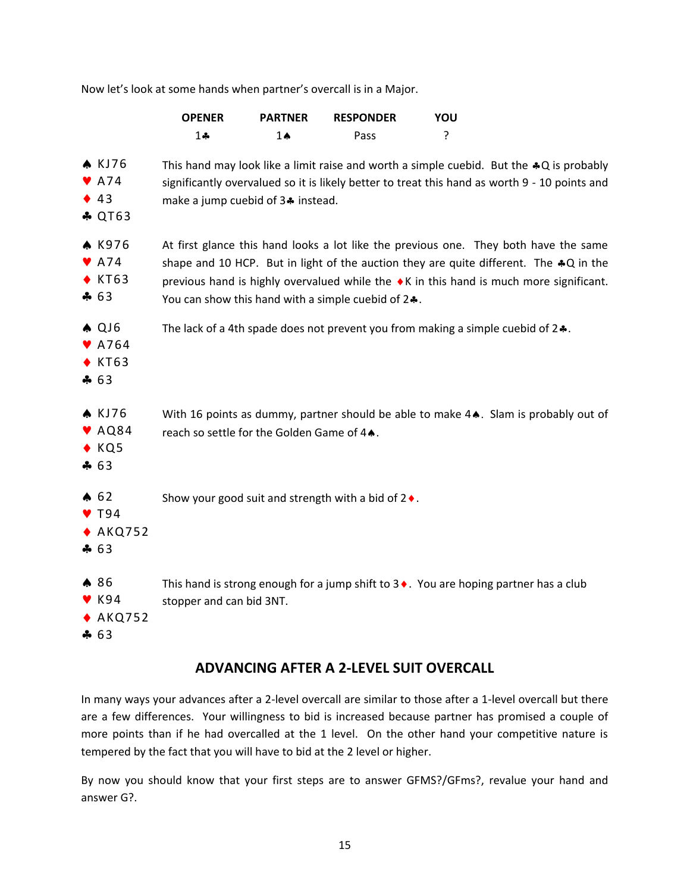Now let's look at some hands when partner's overcall is in a Major.

|                                                                       | <b>OPENER</b>                             | <b>PARTNER</b>                                                                                                                                                                                                                                                                                                                 | <b>RESPONDER</b>                                                                  | YOU |                                                                                              |  |
|-----------------------------------------------------------------------|-------------------------------------------|--------------------------------------------------------------------------------------------------------------------------------------------------------------------------------------------------------------------------------------------------------------------------------------------------------------------------------|-----------------------------------------------------------------------------------|-----|----------------------------------------------------------------------------------------------|--|
|                                                                       | $1 -$                                     | $1 \spadesuit$                                                                                                                                                                                                                                                                                                                 | Pass                                                                              | ?   |                                                                                              |  |
| <b>A</b> KJ76<br>$\blacktriangleright$ A74<br>43<br><b>&amp; QT63</b> |                                           | This hand may look like a limit raise and worth a simple cuebid. But the $*Q$ is probably<br>significantly overvalued so it is likely better to treat this hand as worth 9 - 10 points and<br>make a jump cuebid of 3. instead.                                                                                                |                                                                                   |     |                                                                                              |  |
| <b>A</b> K976<br>$\blacktriangleright$ A74<br>$\bullet$ KT63<br>$-63$ |                                           | At first glance this hand looks a lot like the previous one. They both have the same<br>shape and 10 HCP. But in light of the auction they are quite different. The $*Q$ in the<br>previous hand is highly overvalued while the ♦ K in this hand is much more significant.<br>You can show this hand with a simple cuebid of 2 |                                                                                   |     |                                                                                              |  |
| $A$ QJ6<br>$\blacktriangleright$ A764<br>$\bullet$ KT63<br>463        |                                           |                                                                                                                                                                                                                                                                                                                                | The lack of a 4th spade does not prevent you from making a simple cuebid of $2$ . |     |                                                                                              |  |
| <b>A</b> KJ76<br>$\blacktriangledown$ AQ84<br>$\bullet$ KQ5<br>463    | reach so settle for the Golden Game of 4. |                                                                                                                                                                                                                                                                                                                                |                                                                                   |     | With 16 points as dummy, partner should be able to make 4 Slam is probably out of            |  |
| $\spadesuit$ 62<br>$\triangledown$ T94<br>$*$ AKQ752<br>$-63$         |                                           |                                                                                                                                                                                                                                                                                                                                | Show your good suit and strength with a bid of $2 \triangleleft$ .                |     |                                                                                              |  |
| ▲ 86<br>$\blacktriangledown$ K94<br>$*$ AKQ752<br>463                 | stopper and can bid 3NT.                  |                                                                                                                                                                                                                                                                                                                                |                                                                                   |     | This hand is strong enough for a jump shift to $3 \cdot$ . You are hoping partner has a club |  |

# **ADVANCING AFTER A 2-LEVEL SUIT OVERCALL**

In many ways your advances after a 2-level overcall are similar to those after a 1-level overcall but there are a few differences. Your willingness to bid is increased because partner has promised a couple of more points than if he had overcalled at the 1 level. On the other hand your competitive nature is tempered by the fact that you will have to bid at the 2 level or higher.

By now you should know that your first steps are to answer GFMS?/GFms?, revalue your hand and answer G?.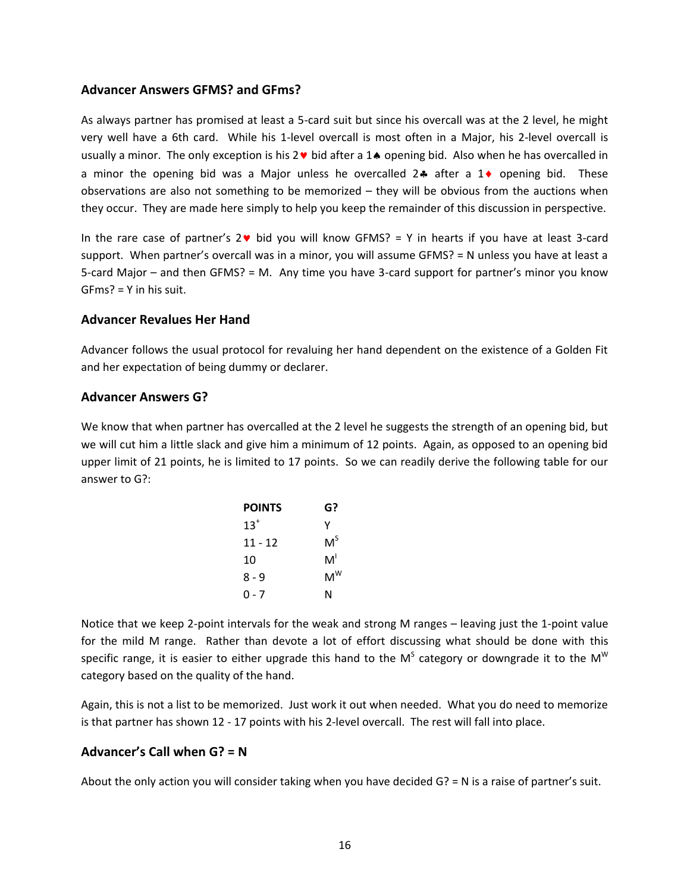#### **Advancer Answers GFMS? and GFms?**

As always partner has promised at least a 5-card suit but since his overcall was at the 2 level, he might very well have a 6th card. While his 1-level overcall is most often in a Major, his 2-level overcall is usually a minor. The only exception is his  $2 \cdot b$  bid after a 14 opening bid. Also when he has overcalled in a minor the opening bid was a Major unless he overcalled  $2\cdot a$  after a  $1\cdot a$  opening bid. These observations are also not something to be memorized – they will be obvious from the auctions when they occur. They are made here simply to help you keep the remainder of this discussion in perspective.

In the rare case of partner's  $2\vee$  bid you will know GFMS? = Y in hearts if you have at least 3-card support. When partner's overcall was in a minor, you will assume GFMS? = N unless you have at least a 5-card Major – and then GFMS? = M. Any time you have 3-card support for partner's minor you know GFms? = Y in his suit.

#### **Advancer Revalues Her Hand**

Advancer follows the usual protocol for revaluing her hand dependent on the existence of a Golden Fit and her expectation of being dummy or declarer.

#### **Advancer Answers G?**

We know that when partner has overcalled at the 2 level he suggests the strength of an opening bid, but we will cut him a little slack and give him a minimum of 12 points. Again, as opposed to an opening bid upper limit of 21 points, he is limited to 17 points. So we can readily derive the following table for our answer to G?:

| <b>POINTS</b> | G?    |
|---------------|-------|
| $13^{+}$      | γ     |
| 11 - 12       | $M^S$ |
| 10            | M'    |
| 8 - 9         | $M^W$ |
| ი - 7         | N     |

Notice that we keep 2-point intervals for the weak and strong M ranges – leaving just the 1-point value for the mild M range. Rather than devote a lot of effort discussing what should be done with this specific range, it is easier to either upgrade this hand to the M<sup>S</sup> category or downgrade it to the M<sup>W</sup> category based on the quality of the hand.

Again, this is not a list to be memorized. Just work it out when needed. What you do need to memorize is that partner has shown 12 - 17 points with his 2-level overcall. The rest will fall into place.

#### **Advancer's Call when G? = N**

About the only action you will consider taking when you have decided G? = N is a raise of partner's suit.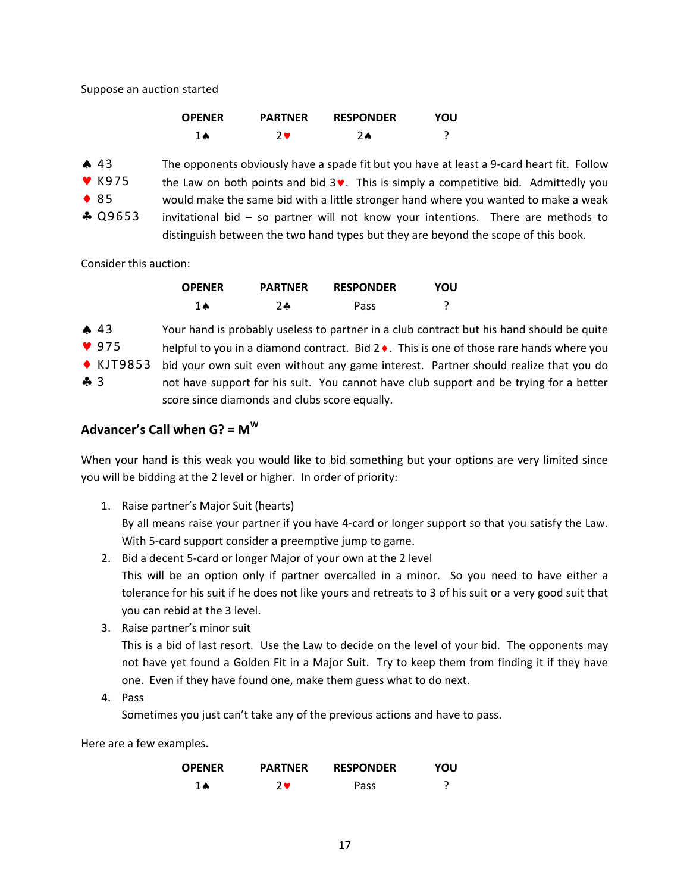Suppose an auction started

| <b>OPENER</b> | <b>PARTNER</b> | <b>RESPONDER</b> | YOU |
|---------------|----------------|------------------|-----|
| 1Ѧ            | 7 <sub>9</sub> | 2▲               |     |

The opponents obviously have a spade fit but you have at least a 9-card heart fit. Follow the Law on both points and bid  $3\vee$ . This is simply a competitive bid. Admittedly you would make the same bid with a little stronger hand where you wanted to make a weak invitational bid – so partner will not know your intentions. There are methods to distinguish between the two hand types but they are beyond the scope of this book.  $\spadesuit$  43  $\blacktriangledown$  K975 ◆ 85 **A** Q9653

Consider this auction:

| <b>OPENER</b> | <b>PARTNER</b> | <b>RESPONDER</b> | YOU |
|---------------|----------------|------------------|-----|
| <b>1 A</b>    | $2 -$          | Pass             |     |

|               | $\spadesuit$ 43     | Your hand is probably useless to partner in a club contract but his hand should be quite          |
|---------------|---------------------|---------------------------------------------------------------------------------------------------|
|               | 975                 | helpful to you in a diamond contract. Bid 2 $\bullet$ . This is one of those rare hands where you |
|               | $\triangle$ KJT9853 | bid your own suit even without any game interest. Partner should realize that you do              |
| $\clubsuit$ 3 |                     | not have support for his suit. You cannot have club support and be trying for a better            |

score since diamonds and clubs score equally.

## **Advancer's Call when G? = M<sup>W</sup>**

When your hand is this weak you would like to bid something but your options are very limited since you will be bidding at the 2 level or higher. In order of priority:

1. Raise partner's Major Suit (hearts)

By all means raise your partner if you have 4-card or longer support so that you satisfy the Law. With 5-card support consider a preemptive jump to game.

- 2. Bid a decent 5-card or longer Major of your own at the 2 level This will be an option only if partner overcalled in a minor. So you need to have either a tolerance for his suit if he does not like yours and retreats to 3 of his suit or a very good suit that you can rebid at the 3 level.
- 3. Raise partner's minor suit

This is a bid of last resort. Use the Law to decide on the level of your bid. The opponents may not have yet found a Golden Fit in a Major Suit. Try to keep them from finding it if they have one. Even if they have found one, make them guess what to do next.

4. Pass

Sometimes you just can't take any of the previous actions and have to pass.

Here are a few examples.

| <b>OPENER</b> | <b>PARTNER</b> | <b>RESPONDER</b> | YOU |
|---------------|----------------|------------------|-----|
| <b>1 A</b>    | 2₩             | Pass             |     |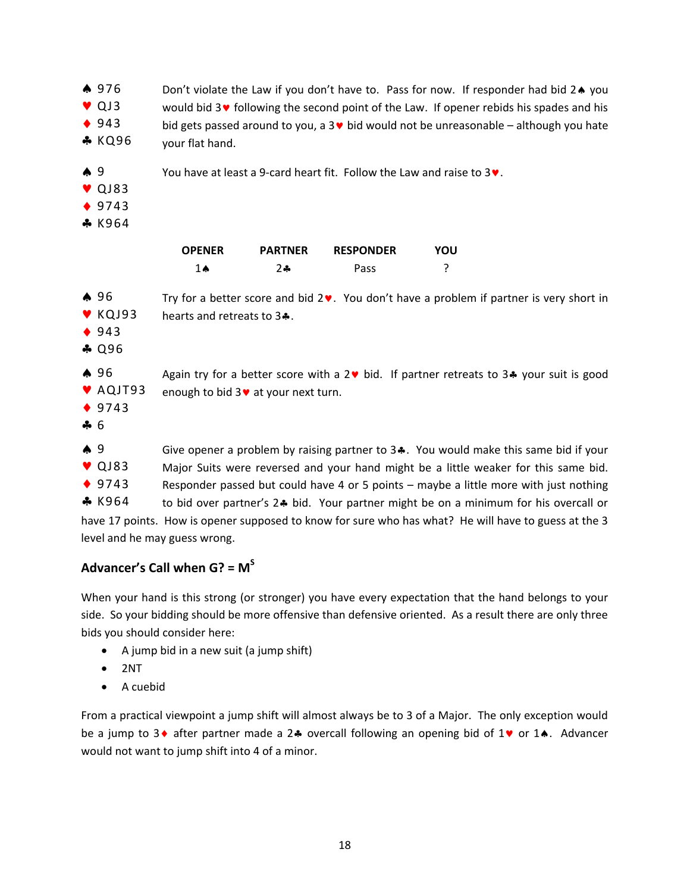| $\spadesuit$ 976<br>$\bullet$ QJ3<br><b>◆ 943</b><br><b>*</b> KQ96  | Don't violate the Law if you don't have to. Pass for now. If responder had bid 2. you<br>would bid $3\vee$ following the second point of the Law. If opener rebids his spades and his<br>bid gets passed around to you, a $3\blacktriangledown$ bid would not be unreasonable - although you hate<br>your flat hand.                                                                                                                                                                                         |                |                  |     |  |
|---------------------------------------------------------------------|--------------------------------------------------------------------------------------------------------------------------------------------------------------------------------------------------------------------------------------------------------------------------------------------------------------------------------------------------------------------------------------------------------------------------------------------------------------------------------------------------------------|----------------|------------------|-----|--|
| $\clubsuit$ 9<br>$\triangledown$ QJ83<br>◆ 9743<br>* K964           | You have at least a 9-card heart fit. Follow the Law and raise to $3\vee$ .                                                                                                                                                                                                                                                                                                                                                                                                                                  |                |                  |     |  |
|                                                                     | <b>OPENER</b>                                                                                                                                                                                                                                                                                                                                                                                                                                                                                                | <b>PARTNER</b> | <b>RESPONDER</b> | YOU |  |
|                                                                     | $1 \spadesuit$                                                                                                                                                                                                                                                                                                                                                                                                                                                                                               | $2 -$          | Pass             | ç   |  |
| $\spadesuit$ 96<br>$\blacktriangledown$ KQJ93<br>◆ $943$<br>$-0.96$ | Try for a better score and bid $2\mathbf{v}$ . You don't have a problem if partner is very short in<br>hearts and retreats to 3                                                                                                                                                                                                                                                                                                                                                                              |                |                  |     |  |
| A96<br>AQJT93<br>◆ 9743<br>466                                      | Again try for a better score with a $2 \cdot b$ bid. If partner retreats to $3 \cdot b$ your suit is good<br>enough to bid 3 v at your next turn.                                                                                                                                                                                                                                                                                                                                                            |                |                  |     |  |
| $\clubsuit$ 9<br>$\triangledown$ QJ83<br>◆ 9743<br>$&$ K964         | Give opener a problem by raising partner to $3 - 1$ . You would make this same bid if your<br>Major Suits were reversed and your hand might be a little weaker for this same bid.<br>Responder passed but could have 4 or 5 points - maybe a little more with just nothing<br>to bid over partner's 2.4 bid. Your partner might be on a minimum for his overcall or<br>have 17 points. How is opener supposed to know for sure who has what? He will have to guess at the 3<br>level and he may guess wrong. |                |                  |     |  |

**Advancer's Call when G? = M<sup>S</sup>**

When your hand is this strong (or stronger) you have every expectation that the hand belongs to your side. So your bidding should be more offensive than defensive oriented. As a result there are only three bids you should consider here:

- A jump bid in a new suit (a jump shift)
- $\bullet$  2NT
- A cuebid

From a practical viewpoint a jump shift will almost always be to 3 of a Major. The only exception would be a jump to 3  $\bullet$  after partner made a 2.4 overcall following an opening bid of 1 $\bullet$  or 1.4. Advancer would not want to jump shift into 4 of a minor.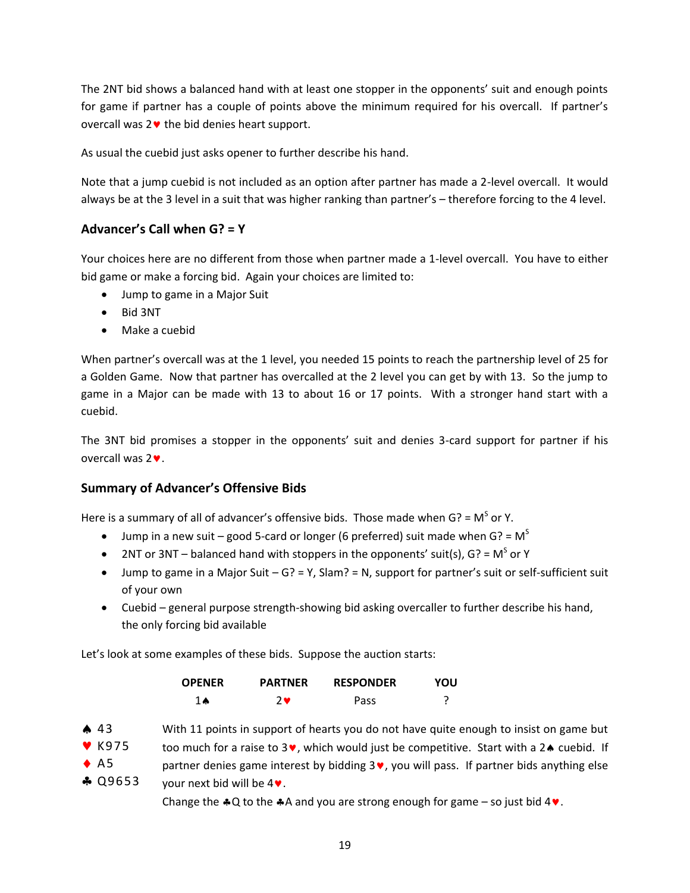The 2NT bid shows a balanced hand with at least one stopper in the opponents' suit and enough points for game if partner has a couple of points above the minimum required for his overcall. If partner's overcall was  $2 \cdot \cdot$  the bid denies heart support.

As usual the cuebid just asks opener to further describe his hand.

Note that a jump cuebid is not included as an option after partner has made a 2-level overcall. It would always be at the 3 level in a suit that was higher ranking than partner's – therefore forcing to the 4 level.

## **Advancer's Call when G? = Y**

Your choices here are no different from those when partner made a 1-level overcall. You have to either bid game or make a forcing bid. Again your choices are limited to:

- Jump to game in a Major Suit
- Bid 3NT
- Make a cuebid

When partner's overcall was at the 1 level, you needed 15 points to reach the partnership level of 25 for a Golden Game. Now that partner has overcalled at the 2 level you can get by with 13. So the jump to game in a Major can be made with 13 to about 16 or 17 points. With a stronger hand start with a cuebid.

The 3NT bid promises a stopper in the opponents' suit and denies 3-card support for partner if his overcall was  $2\blacktriangledown$ .

## **Summary of Advancer's Offensive Bids**

Here is a summary of all of advancer's offensive bids. Those made when G? =  $M^S$  or Y.

- **Jump in a new suit good 5-card or longer (6 preferred) suit made when G? =**  $M^S$
- 2NT or 3NT balanced hand with stoppers in the opponents' suit(s),  $G$ ? = M<sup>S</sup> or Y
- $\bullet$  Jump to game in a Major Suit G? = Y, Slam? = N, support for partner's suit or self-sufficient suit of your own
- Cuebid general purpose strength-showing bid asking overcaller to further describe his hand, the only forcing bid available

Let's look at some examples of these bids. Suppose the auction starts:

| <b>OPENER</b> | <b>PARTNER</b> | <b>RESPONDER</b> | YOU |
|---------------|----------------|------------------|-----|
| <b>1 A</b>    | 2₩             | Pass             |     |



Change the  $*Q$  to the  $*A$  and you are strong enough for game – so just bid 4 $\bullet$ .